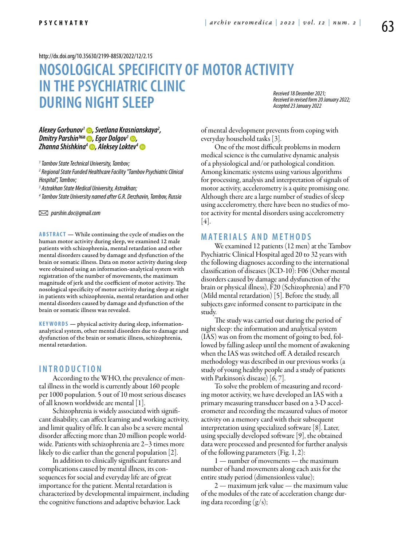<http://dx.doi.org/10.35630/2199-885X/2022/12/2.15>

# **NOSOLOGICAL SPECIFICITY OF MOTOR ACTIVITY IN THE PSYCHIATRIC CLINIC DURING NIGHT SLEEP**

*Received 18 December 2021; Received in revised form 20 January 2022; Accepted 23 January 2022*

# *[Alexey Gorbunov1](https://orcid.org/0000-0002-6880-0472) , Svetlana Krasnianskaya2 , [Dmitry Parshin3](https://orcid.org/0000-0002-1050-7716) , Egor Dolgov1 , [Zhanna Shishkina4](http://orcid.org/0000-0002-2744-2058) , [Aleksey Loktev4](https://orcid.org/0000-0001-6214-7233)*

*1 Tambov State Technical University, Tambov;*

*2 Regional State Funded Healthcare Facility "Tambov Psychiatric Clinical Hospital", Tambov;*

*3 Astrakhan State Medical University, Astrakhan;*

*4 Tambov State University named after G.R. Derzhavin, Tambov, Russia*

 *parshin.doc@gmail.com* 

**ABSTRACT** — While continuing the cycle of studies on the human motor activity during sleep, we examined 12 male patients with schizophrenia, mental retardation and other mental disorders caused by damage and dysfunction of the brain or somatic illness. Data on motor activity during sleep were obtained using an information-analytical system with registration of the number of movements, the maximum magnitude of jerk and the coefficient of motor activity. The nosological specificity of motor activity during sleep at night in patients with schizophrenia, mental retardation and other mental disorders caused by damage and dysfunction of the brain or somatic illness was revealed.

**KEYWORDS** — physical activity during sleep, informationanalytical system, other mental disorders due to damage and dysfunction of the brain or somatic illness, schizophrenia, mental retardation.

### **I ntroduction**

According to the WHO, the prevalence of mental illness in the world is currently about 160 people per 1000 population. 5 out of 10 most serious diseases of all known worldwide are mental [1].

Schizophrenia is widely associated with significant disability, can affect learning and working activity, and limit quality of life. It can also be a severe mental disorder affecting more than 20 million people worldwide. Patients with schizophrenia are 2–3 times more likely to die earlier than the general population [2].

In addition to clinically significant features and complications caused by mental illness, its consequences for social and everyday life are of great importance for the patient. Mental retardation is characterized by developmental impairment, including the cognitive functions and adaptive behavior. Lack

of mental development prevents from coping with everyday household tasks [3].

One of the most difficult problems in modern medical science is the cumulative dynamic analysis of a physiological and/or pathological condition. Among kinematic systems using various algorithms for processing, analysis and interpretation of signals of motor activity, accelerometry is a quite promising one. Although there are a large number of studies of sleep using accelerometry, there have been no studies of motor activity for mental disorders using accelerometry  $[4]$ .

## **Materials and methods**

We examined 12 patients (12 men) at the Tambov Psychiatric Clinical Hospital aged 20 to 32 years with the following diagnoses according to the international classification of diseases (ICD-10): F06 (Other mental disorders caused by damage and dysfunction of the brain or physical illness), F20 (Schizophrenia) and F70 (Mild mental retardation) [5]. Before the study, all subjects gave informed consent to participate in the study.

The study was carried out during the period of night sleep: the information and analytical system (IAS) was on from the moment of going to bed, followed by falling asleep until the moment of awakening when the IAS was switched off. A detailed research methodology was described in our previous works (a study of young healthy people and a study of patients with Parkinson's disease) [6, 7].

To solve the problem of measuring and recording motor activity, we have developed an IAS with a primary measuring transducer based on a 3-D accelerometer and recording the measured values of motor activity on a memory card with their subsequent interpretation using specialized software [8]. Later, using specially developed software [9], the obtained data were processed and presented for further analysis of the following parameters (Fig. 1, 2):

1 — number of movements — the maximum number of hand movements along each axis for the entire study period (dimensionless value);

2 — maximum jerk value — the maximum value of the modules of the rate of acceleration change during data recording (g/s);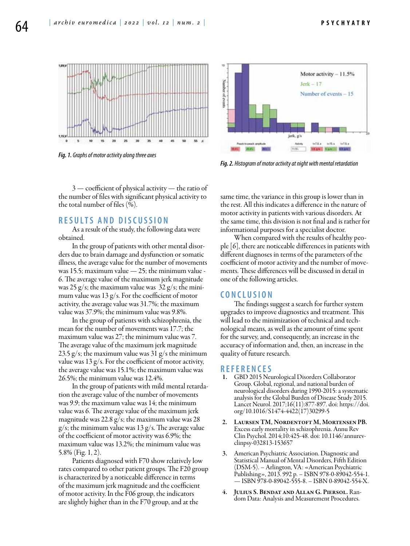



*Fig. 1. Graphs of motor activity along three axes*



*Fig. 2. Histogram of motor activity at night with mental retardation*

3 — coefficient of physical activity — the ratio of the number of files with significant physical activity to the total number of files (%).

# **R esults and D iscussion**

As a result of the study, the following data were obtained.

In the group of patients with other mental disorders due to brain damage and dysfunction or somatic illness, the average value for the number of movements was 15.5; maximum value — 25; the minimum value - 6. The average value of the maximum jerk magnitude was 25 g/s; the maximum value was  $32$  g/s; the minimum value was  $13 g/s$ . For the coefficient of motor activity, the average value was 31.7%; the maximum value was 37.9%; the minimum value was 9.8%.

In the group of patients with schizophrenia, the mean for the number of movements was 17.7; the maximum value was 27; the minimum value was 7. The average value of the maximum jerk magnitude 23.5  $g/s$ ; the maximum value was 31  $g/s$  the minimum value was  $13 g/s$ . For the coefficient of motor activity, the average value was 15.1%; the maximum value was 26.5%; the minimum value was 12.4%.

In the group of patients with mild mental retardation the average value of the number of movements was 9.9; the maximum value was 14; the minimum value was 6. The average value of the maximum jerk magnitude was 22.8 g/s; the maximum value was 28  $g/s$ ; the minimum value was 13  $g/s$ . The average value of the coefficient of motor activity was 6.9%; the maximum value was 13.2%; the minimum value was 5.8% (Fig. 1, 2).

Patients diagnosed with F70 show relatively low rates compared to other patient groups. The F20 group is characterized by a noticeable difference in terms of the maximum jerk magnitude and the coefficient of motor activity. In the F06 group, the indicators are slightly higher than in the F70 group, and at the

same time, the variance in this group is lower than in the rest. All this indicates a difference in the nature of motor activity in patients with various disorders. At the same time, this division is not final and is rather for informational purposes for a specialist doctor.

When compared with the results of healthy people [6], there are noticeable differences in patients with different diagnoses in terms of the parameters of the coefficient of motor activity and the number of movements. These differences will be discussed in detail in one of the following articles.

#### **C onclusion**

The findings suggest a search for further system upgrades to improve diagnostics and treatment. This will lead to the minimization of technical and technological means, as well as the amount of time spent for the survey, and, consequently, an increase in the accuracy of information and, then, an increase in the quality of future research.

#### **R eferences**

- 1. GBD 2015 Neurological Disorders Collaborator Group. Global, regional, and national burden of neurological disorders during 1990-2015: a systematic analysis for the Global Burden of Disease Study 2015. Lancet Neurol. 2017;16(11):877-897. doi: https://doi. org/10.1016/S1474-4422(17)30299-5
- 2. Laursen TM, Nordentoft M, Mortensen PB. Excess early mortality in schizophrenia. Annu Rev Clin Psychol. 2014;10:425-48. doi: 10.1146/annurevclinpsy-032813-153657
- 3. American Psychiatric Association. Diagnostic and Statistical Manual of Mental Disorders, Fifth Edition (DSM-5). – Arlington, VA: «American Psychiatric Publishing», 2013. 992 p. – ISBN 978-0-89042-554-1. — ISBN 978-0-89042-555-8. – ISBN 0-89042-554-X.
- 4. Julius S. Bendat and Allan G. Piersol. Random Data: Analysis and Measurement Procedures.